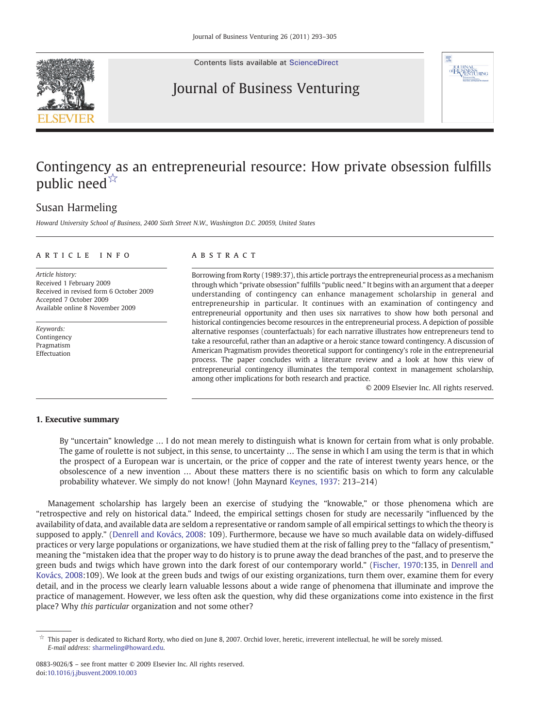Contents lists available at [ScienceDirect](http://www.sciencedirect.com/science/journal/08839026)

# Journal of Business Venturing



# Contingency as an entrepreneurial resource: How private obsession fulfills public need<sup>☆</sup>

## Susan Harmeling

Howard University School of Business, 2400 Sixth Street N.W., Washington D.C. 20059, United States

#### article info abstract

Article history: Received 1 February 2009 Received in revised form 6 October 2009 Accepted 7 October 2009 Available online 8 November 2009

Keywords: Contingency Pragmatism Effectuation

Borrowing from Rorty (1989:37), this article portrays the entrepreneurial process as a mechanism through which "private obsession" fulfills "public need." It begins with an argument that a deeper understanding of contingency can enhance management scholarship in general and entrepreneurship in particular. It continues with an examination of contingency and entrepreneurial opportunity and then uses six narratives to show how both personal and historical contingencies become resources in the entrepreneurial process. A depiction of possible alternative responses (counterfactuals) for each narrative illustrates how entrepreneurs tend to take a resourceful, rather than an adaptive or a heroic stance toward contingency. A discussion of American Pragmatism provides theoretical support for contingency's role in the entrepreneurial process. The paper concludes with a literature review and a look at how this view of entrepreneurial contingency illuminates the temporal context in management scholarship, among other implications for both research and practice.

© 2009 Elsevier Inc. All rights reserved.

#### 1. Executive summary

By "uncertain" knowledge … I do not mean merely to distinguish what is known for certain from what is only probable. The game of roulette is not subject, in this sense, to uncertainty … The sense in which I am using the term is that in which the prospect of a European war is uncertain, or the price of copper and the rate of interest twenty years hence, or the obsolescence of a new invention … About these matters there is no scientific basis on which to form any calculable probability whatever. We simply do not know! (John Maynard [Keynes, 1937](#page-11-0): 213–214)

Management scholarship has largely been an exercise of studying the "knowable," or those phenomena which are "retrospective and rely on historical data." Indeed, the empirical settings chosen for study are necessarily "influenced by the availability of data, and available data are seldom a representative or random sample of all empirical settings to which the theory is supposed to apply." ([Denrell and Kovács, 2008](#page-11-0): 109). Furthermore, because we have so much available data on widely-diffused practices or very large populations or organizations, we have studied them at the risk of falling prey to the "fallacy of presentism," meaning the "mistaken idea that the proper way to do history is to prune away the dead branches of the past, and to preserve the green buds and twigs which have grown into the dark forest of our contemporary world." [\(Fischer, 1970:](#page-11-0)135, in [Denrell and](#page-11-0) [Kovács, 2008:](#page-11-0)109). We look at the green buds and twigs of our existing organizations, turn them over, examine them for every detail, and in the process we clearly learn valuable lessons about a wide range of phenomena that illuminate and improve the practice of management. However, we less often ask the question, why did these organizations come into existence in the first place? Why this particular organization and not some other?

 $\vec{\tau}$  This paper is dedicated to Richard Rorty, who died on June 8, 2007. Orchid lover, heretic, irreverent intellectual, he will be sorely missed. E-mail address: [sharmeling@howard.edu.](mailto:sharmeling@howard.edu)

<sup>0883-9026/\$</sup> – see front matter © 2009 Elsevier Inc. All rights reserved. doi[:10.1016/j.jbusvent.2009.10.003](http://dx.doi.org/10.1016/j.jbusvent.2009.10.003)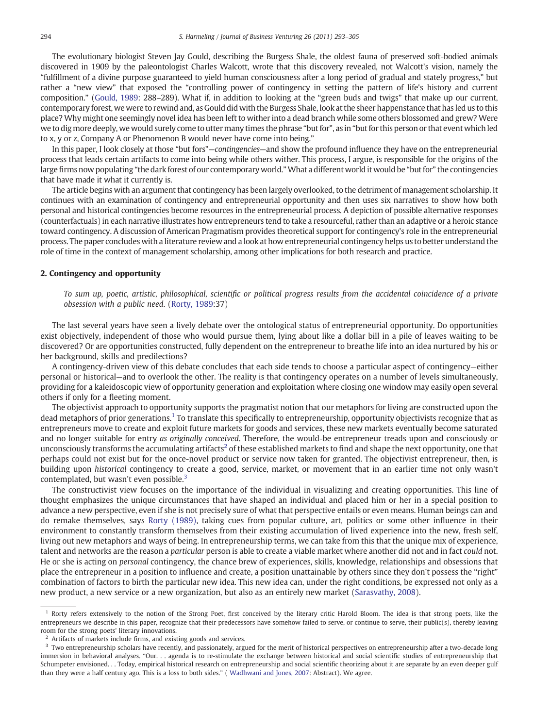The evolutionary biologist Steven Jay Gould, describing the Burgess Shale, the oldest fauna of preserved soft-bodied animals discovered in 1909 by the paleontologist Charles Walcott, wrote that this discovery revealed, not Walcott's vision, namely the "fulfillment of a divine purpose guaranteed to yield human consciousness after a long period of gradual and stately progress," but rather a "new view" that exposed the "controlling power of contingency in setting the pattern of life's history and current composition." ([Gould, 1989:](#page-11-0) 288–289). What if, in addition to looking at the "green buds and twigs" that make up our current, contemporary forest, we were to rewind and, as Gould did with the Burgess Shale, look at the sheer happenstance that has led us to this place? Why might one seemingly novel idea has been left to wither into a dead branch while some others blossomed and grew? Were we to dig more deeply, we would surely come to utter many times the phrase "but for", as in "but for this person or that event which led to x, y or z, Company A or Phenomenon B would never have come into being."

In this paper, I look closely at those "but fors"—contingencies—and show the profound influence they have on the entrepreneurial process that leads certain artifacts to come into being while others wither. This process, I argue, is responsible for the origins of the large firms now populating "the dark forest of our contemporary world."What a different world it would be "but for" the contingencies that have made it what it currently is.

The article begins with an argument that contingency has been largely overlooked, to the detriment of management scholarship. It continues with an examination of contingency and entrepreneurial opportunity and then uses six narratives to show how both personal and historical contingencies become resources in the entrepreneurial process. A depiction of possible alternative responses (counterfactuals) in each narrative illustrates how entrepreneurs tend to take a resourceful, rather than an adaptive or a heroic stance toward contingency. A discussion of American Pragmatism provides theoretical support for contingency's role in the entrepreneurial process. The paper concludes with a literature review and a look at how entrepreneurial contingency helps us to better understand the role of time in the context of management scholarship, among other implications for both research and practice.

#### 2. Contingency and opportunity

To sum up, poetic, artistic, philosophical, scientific or political progress results from the accidental coincidence of a private obsession with a public need. ([Rorty, 1989](#page-11-0):37)

The last several years have seen a lively debate over the ontological status of entrepreneurial opportunity. Do opportunities exist objectively, independent of those who would pursue them, lying about like a dollar bill in a pile of leaves waiting to be discovered? Or are opportunities constructed, fully dependent on the entrepreneur to breathe life into an idea nurtured by his or her background, skills and predilections?

A contingency-driven view of this debate concludes that each side tends to choose a particular aspect of contingency—either personal or historical—and to overlook the other. The reality is that contingency operates on a number of levels simultaneously, providing for a kaleidoscopic view of opportunity generation and exploitation where closing one window may easily open several others if only for a fleeting moment.

The objectivist approach to opportunity supports the pragmatist notion that our metaphors for living are constructed upon the dead metaphors of prior generations.<sup>1</sup> To translate this specifically to entrepreneurship, opportunity objectivists recognize that as entrepreneurs move to create and exploit future markets for goods and services, these new markets eventually become saturated and no longer suitable for entry as originally conceived. Therefore, the would-be entrepreneur treads upon and consciously or unconsciously transforms the accumulating artifacts<sup>2</sup> of these established markets to find and shape the next opportunity, one that perhaps could not exist but for the once-novel product or service now taken for granted. The objectivist entrepreneur, then, is building upon historical contingency to create a good, service, market, or movement that in an earlier time not only wasn't contemplated, but wasn't even possible.<sup>3</sup>

The constructivist view focuses on the importance of the individual in visualizing and creating opportunities. This line of thought emphasizes the unique circumstances that have shaped an individual and placed him or her in a special position to advance a new perspective, even if she is not precisely sure of what that perspective entails or even means. Human beings can and do remake themselves, says [Rorty \(1989\)](#page-11-0), taking cues from popular culture, art, politics or some other influence in their environment to constantly transform themselves from their existing accumulation of lived experience into the new, fresh self, living out new metaphors and ways of being. In entrepreneurship terms, we can take from this that the unique mix of experience, talent and networks are the reason a particular person is able to create a viable market where another did not and in fact could not. He or she is acting on personal contingency, the chance brew of experiences, skills, knowledge, relationships and obsessions that place the entrepreneur in a position to influence and create, a position unattainable by others since they don't possess the "right" combination of factors to birth the particular new idea. This new idea can, under the right conditions, be expressed not only as a new product, a new service or a new organization, but also as an entirely new market ([Sarasvathy, 2008\)](#page-11-0).

 $1$  Rorty refers extensively to the notion of the Strong Poet, first conceived by the literary critic Harold Bloom. The idea is that strong poets, like the entrepreneurs we describe in this paper, recognize that their predecessors have somehow failed to serve, or continue to serve, their public(s), thereby leaving room for the strong poets' literary innovations.

 $2$  Artifacts of markets include firms, and existing goods and services.

<sup>&</sup>lt;sup>3</sup> Two entrepreneurship scholars have recently, and passionately, argued for the merit of historical perspectives on entrepreneurship after a two-decade long immersion in behavioral analyses. "Our. . . agenda is to re-stimulate the exchange between historical and social scientific studies of entrepreneurship that Schumpeter envisioned. . . Today, empirical historical research on entrepreneurship and social scientific theorizing about it are separate by an even deeper gulf than they were a half century ago. This is a loss to both sides." ( [Wadhwani and Jones, 2007](#page-12-0): Abstract). We agree.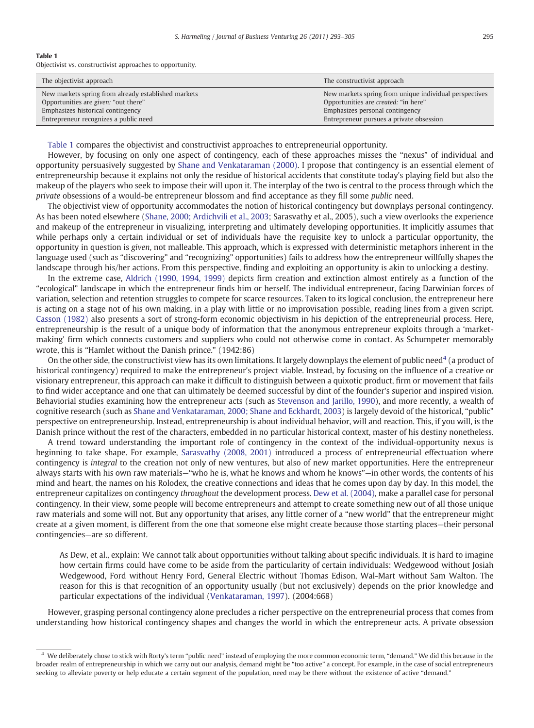#### Table 1

Objectivist vs. constructivist approaches to opportunity.

| The objectivist approach                            | The constructivist approach                            |
|-----------------------------------------------------|--------------------------------------------------------|
| New markets spring from already established markets | New markets spring from unique individual perspectives |
| Opportunities are given: "out there"                | Opportunities are created: "in here"                   |
| Emphasizes historical contingency                   | Emphasizes personal contingency                        |
| Entrepreneur recognizes a public need               | Entrepreneur pursues a private obsession               |

Table 1 compares the objectivist and constructivist approaches to entrepreneurial opportunity.

However, by focusing on only one aspect of contingency, each of these approaches misses the "nexus" of individual and opportunity persuasively suggested by [Shane and Venkataraman \(2000\)](#page-12-0). I propose that contingency is an essential element of entrepreneurship because it explains not only the residue of historical accidents that constitute today's playing field but also the makeup of the players who seek to impose their will upon it. The interplay of the two is central to the process through which the private obsessions of a would-be entrepreneur blossom and find acceptance as they fill some public need.

The objectivist view of opportunity accommodates the notion of historical contingency but downplays personal contingency. As has been noted elsewhere ([Shane, 2000; Ardichvili et al., 2003;](#page-12-0) Sarasvathy et al., 2005), such a view overlooks the experience and makeup of the entrepreneur in visualizing, interpreting and ultimately developing opportunities. It implicitly assumes that while perhaps only a certain individual or set of individuals have the requisite key to unlock a particular opportunity, the opportunity in question is given, not malleable. This approach, which is expressed with deterministic metaphors inherent in the language used (such as "discovering" and "recognizing" opportunities) fails to address how the entrepreneur willfully shapes the landscape through his/her actions. From this perspective, finding and exploiting an opportunity is akin to unlocking a destiny.

In the extreme case, [Aldrich \(1990, 1994, 1999\)](#page-11-0) depicts firm creation and extinction almost entirely as a function of the "ecological" landscape in which the entrepreneur finds him or herself. The individual entrepreneur, facing Darwinian forces of variation, selection and retention struggles to compete for scarce resources. Taken to its logical conclusion, the entrepreneur here is acting on a stage not of his own making, in a play with little or no improvisation possible, reading lines from a given script. [Casson \(1982\)](#page-11-0) also presents a sort of strong-form economic objectivism in his depiction of the entrepreneurial process. Here, entrepreneurship is the result of a unique body of information that the anonymous entrepreneur exploits through a 'marketmaking' firm which connects customers and suppliers who could not otherwise come in contact. As Schumpeter memorably wrote, this is "Hamlet without the Danish prince." (1942:86)

On the other side, the constructivist view has its own limitations. It largely downplays the element of public need<sup>4</sup> (a product of historical contingency) required to make the entrepreneur's project viable. Instead, by focusing on the influence of a creative or visionary entrepreneur, this approach can make it difficult to distinguish between a quixotic product, firm or movement that fails to find wider acceptance and one that can ultimately be deemed successful by dint of the founder's superior and inspired vision. Behaviorial studies examining how the entrepreneur acts (such as [Stevenson and Jarillo, 1990](#page-12-0)), and more recently, a wealth of cognitive research (such as [Shane and Venkataraman, 2000; Shane and Eckhardt, 2003](#page-12-0)) is largely devoid of the historical, "public" perspective on entrepreneurship. Instead, entrepreneurship is about individual behavior, will and reaction. This, if you will, is the Danish prince without the rest of the characters, embedded in no particular historical context, master of his destiny nonetheless.

A trend toward understanding the important role of contingency in the context of the individual-opportunity nexus is beginning to take shape. For example, [Sarasvathy \(2008, 2001\)](#page-11-0) introduced a process of entrepreneurial effectuation where contingency is integral to the creation not only of new ventures, but also of new market opportunities. Here the entrepreneur always starts with his own raw materials—"who he is, what he knows and whom he knows"—in other words, the contents of his mind and heart, the names on his Rolodex, the creative connections and ideas that he comes upon day by day. In this model, the entrepreneur capitalizes on contingency throughout the development process. [Dew et al. \(2004\)](#page-11-0), make a parallel case for personal contingency. In their view, some people will become entrepreneurs and attempt to create something new out of all those unique raw materials and some will not. But any opportunity that arises, any little corner of a "new world" that the entrepreneur might create at a given moment, is different from the one that someone else might create because those starting places—their personal contingencies—are so different.

As Dew, et al., explain: We cannot talk about opportunities without talking about specific individuals. It is hard to imagine how certain firms could have come to be aside from the particularity of certain individuals: Wedgewood without Josiah Wedgewood, Ford without Henry Ford, General Electric without Thomas Edison, Wal-Mart without Sam Walton. The reason for this is that recognition of an opportunity usually (but not exclusively) depends on the prior knowledge and particular expectations of the individual [\(Venkataraman, 1997](#page-12-0)). (2004:668)

However, grasping personal contingency alone precludes a richer perspective on the entrepreneurial process that comes from understanding how historical contingency shapes and changes the world in which the entrepreneur acts. A private obsession

 $^4$  We deliberately chose to stick with Rorty's term "public need" instead of employing the more common economic term, "demand." We did this because in the broader realm of entrepreneurship in which we carry out our analysis, demand might be "too active" a concept. For example, in the case of social entrepreneurs seeking to alleviate poverty or help educate a certain segment of the population, need may be there without the existence of active "demand."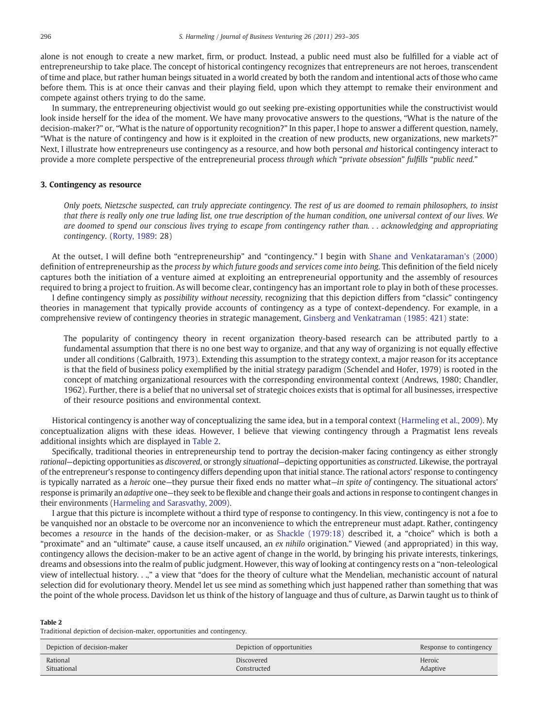alone is not enough to create a new market, firm, or product. Instead, a public need must also be fulfilled for a viable act of entrepreneurship to take place. The concept of historical contingency recognizes that entrepreneurs are not heroes, transcendent of time and place, but rather human beings situated in a world created by both the random and intentional acts of those who came before them. This is at once their canvas and their playing field, upon which they attempt to remake their environment and compete against others trying to do the same.

In summary, the entrepreneuring objectivist would go out seeking pre-existing opportunities while the constructivist would look inside herself for the idea of the moment. We have many provocative answers to the questions, "What is the nature of the decision-maker?" or, "What is the nature of opportunity recognition?" In this paper, I hope to answer a different question, namely, "What is the nature of contingency and how is it exploited in the creation of new products, new organizations, new markets?" Next, I illustrate how entrepreneurs use contingency as a resource, and how both personal and historical contingency interact to provide a more complete perspective of the entrepreneurial process through which "private obsession" fulfills "public need."

### 3. Contingency as resource

Only poets, Nietzsche suspected, can truly appreciate contingency. The rest of us are doomed to remain philosophers, to insist that there is really only one true lading list, one true description of the human condition, one universal context of our lives. We are doomed to spend our conscious lives trying to escape from contingency rather than. . . acknowledging and appropriating contingency. [\(Rorty, 1989:](#page-11-0) 28)

At the outset, I will define both "entrepreneurship" and "contingency." I begin with [Shane and Venkataraman's \(2000\)](#page-12-0) definition of entrepreneurship as the process by which future goods and services come into being. This definition of the field nicely captures both the initiation of a venture aimed at exploiting an entrepreneurial opportunity and the assembly of resources required to bring a project to fruition. As will become clear, contingency has an important role to play in both of these processes.

I define contingency simply as possibility without necessity, recognizing that this depiction differs from "classic" contingency theories in management that typically provide accounts of contingency as a type of context-dependency. For example, in a comprehensive review of contingency theories in strategic management, [Ginsberg and Venkatraman \(1985: 421\)](#page-11-0) state:

The popularity of contingency theory in recent organization theory-based research can be attributed partly to a fundamental assumption that there is no one best way to organize, and that any way of organizing is not equally effective under all conditions (Galbraith, 1973). Extending this assumption to the strategy context, a major reason for its acceptance is that the field of business policy exemplified by the initial strategy paradigm (Schendel and Hofer, 1979) is rooted in the concept of matching organizational resources with the corresponding environmental context (Andrews, 1980; Chandler, 1962). Further, there is a belief that no universal set of strategic choices exists that is optimal for all businesses, irrespective of their resource positions and environmental context.

Historical contingency is another way of conceptualizing the same idea, but in a temporal context [\(Harmeling et al., 2009\)](#page-11-0). My conceptualization aligns with these ideas. However, I believe that viewing contingency through a Pragmatist lens reveals additional insights which are displayed in Table 2.

Specifically, traditional theories in entrepreneurship tend to portray the decision-maker facing contingency as either strongly rational—depicting opportunities as discovered, or strongly situational—depicting opportunities as constructed. Likewise, the portrayal of the entrepreneur's response to contingency differs depending upon that initial stance. The rational actors' response to contingency is typically narrated as a heroic one—they pursue their fixed ends no matter what—in spite of contingency. The situational actors' response is primarily an adaptive one—they seek to be flexible and change their goals and actions in response to contingent changes in their environments ([Harmeling and Sarasvathy, 2009\)](#page-11-0).

I argue that this picture is incomplete without a third type of response to contingency. In this view, contingency is not a foe to be vanquished nor an obstacle to be overcome nor an inconvenience to which the entrepreneur must adapt. Rather, contingency becomes a resource in the hands of the decision-maker, or as [Shackle \(1979:18\)](#page-11-0) described it, a "choice" which is both a "proximate" and an "ultimate" cause, a cause itself uncaused, an ex nihilo origination." Viewed (and appropriated) in this way, contingency allows the decision-maker to be an active agent of change in the world, by bringing his private interests, tinkerings, dreams and obsessions into the realm of public judgment. However, this way of looking at contingency rests on a "non-teleological view of intellectual history. . .," a view that "does for the theory of culture what the Mendelian, mechanistic account of natural selection did for evolutionary theory. Mendel let us see mind as something which just happened rather than something that was the point of the whole process. Davidson let us think of the history of language and thus of culture, as Darwin taught us to think of

Table 2

Traditional depiction of decision-maker, opportunities and contingency.

| Depiction of decision-maker | Depiction of opportunities | Response to contingency |
|-----------------------------|----------------------------|-------------------------|
| Rational                    | Discovered                 | Heroic                  |
| Situational                 | Constructed                | Adaptive                |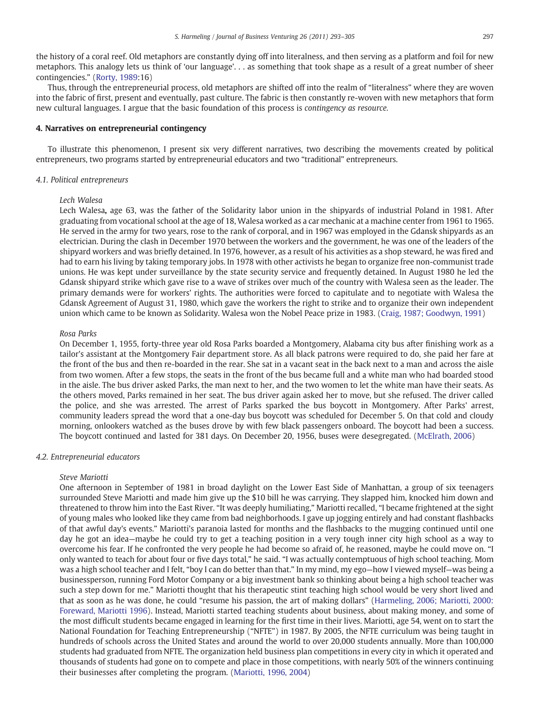the history of a coral reef. Old metaphors are constantly dying off into literalness, and then serving as a platform and foil for new metaphors. This analogy lets us think of 'our language'. . . as something that took shape as a result of a great number of sheer contingencies." ([Rorty, 1989](#page-11-0):16)

Thus, through the entrepreneurial process, old metaphors are shifted off into the realm of "literalness" where they are woven into the fabric of first, present and eventually, past culture. The fabric is then constantly re-woven with new metaphors that form new cultural languages. I argue that the basic foundation of this process is contingency as resource.

#### 4. Narratives on entrepreneurial contingency

To illustrate this phenomenon, I present six very different narratives, two describing the movements created by political entrepreneurs, two programs started by entrepreneurial educators and two "traditional" entrepreneurs.

#### 4.1. Political entrepreneurs

#### Lech Walesa

Lech Walesa, age 63, was the father of the Solidarity labor union in the shipyards of industrial Poland in 1981. After graduating from vocational school at the age of 18, Walesa worked as a car mechanic at a machine center from 1961 to 1965. He served in the army for two years, rose to the rank of corporal, and in 1967 was employed in the Gdansk shipyards as an electrician. During the clash in December 1970 between the workers and the government, he was one of the leaders of the shipyard workers and was briefly detained. In 1976, however, as a result of his activities as a shop steward, he was fired and had to earn his living by taking temporary jobs. In 1978 with other activists he began to organize free non-communist trade unions. He was kept under surveillance by the state security service and frequently detained. In August 1980 he led the Gdansk shipyard strike which gave rise to a wave of strikes over much of the country with Walesa seen as the leader. The primary demands were for workers' rights. The authorities were forced to capitulate and to negotiate with Walesa the Gdansk Agreement of August 31, 1980, which gave the workers the right to strike and to organize their own independent union which came to be known as Solidarity. Walesa won the Nobel Peace prize in 1983. [\(Craig, 1987; Goodwyn, 1991](#page-11-0))

#### Rosa Parks

On December 1, 1955, forty-three year old Rosa Parks boarded a Montgomery, Alabama city bus after finishing work as a tailor's assistant at the Montgomery Fair department store. As all black patrons were required to do, she paid her fare at the front of the bus and then re-boarded in the rear. She sat in a vacant seat in the back next to a man and across the aisle from two women. After a few stops, the seats in the front of the bus became full and a white man who had boarded stood in the aisle. The bus driver asked Parks, the man next to her, and the two women to let the white man have their seats. As the others moved, Parks remained in her seat. The bus driver again asked her to move, but she refused. The driver called the police, and she was arrested. The arrest of Parks sparked the bus boycott in Montgomery. After Parks' arrest, community leaders spread the word that a one-day bus boycott was scheduled for December 5. On that cold and cloudy morning, onlookers watched as the buses drove by with few black passengers onboard. The boycott had been a success. The boycott continued and lasted for 381 days. On December 20, 1956, buses were desegregated. [\(McElrath, 2006\)](http://afroamhistory.about.com/od/rosaparks/p/bio_parks_r.html)

#### 4.2. Entrepreneurial educators

#### Steve Mariotti

One afternoon in September of 1981 in broad daylight on the Lower East Side of Manhattan, a group of six teenagers surrounded Steve Mariotti and made him give up the \$10 bill he was carrying. They slapped him, knocked him down and threatened to throw him into the East River. "It was deeply humiliating," Mariotti recalled, "I became frightened at the sight of young males who looked like they came from bad neighborhoods. I gave up jogging entirely and had constant flashbacks of that awful day's events." Mariotti's paranoia lasted for months and the flashbacks to the mugging continued until one day he got an idea—maybe he could try to get a teaching position in a very tough inner city high school as a way to overcome his fear. If he confronted the very people he had become so afraid of, he reasoned, maybe he could move on. "I only wanted to teach for about four or five days total," he said. "I was actually contemptuous of high school teaching. Mom was a high school teacher and I felt, "boy I can do better than that." In my mind, my ego—how I viewed myself—was being a businessperson, running Ford Motor Company or a big investment bank so thinking about being a high school teacher was such a step down for me." Mariotti thought that his therapeutic stint teaching high school would be very short lived and that as soon as he was done, he could "resume his passion, the art of making dollars" ([Harmeling, 2006; Mariotti, 2000:](#page-11-0) [Foreward, Mariotti 1996](#page-11-0)). Instead, Mariotti started teaching students about business, about making money, and some of the most difficult students became engaged in learning for the first time in their lives. Mariotti, age 54, went on to start the National Foundation for Teaching Entrepreneurship ("NFTE") in 1987. By 2005, the NFTE curriculum was being taught in hundreds of schools across the United States and around the world to over 20,000 students annually. More than 100,000 students had graduated from NFTE. The organization held business plan competitions in every city in which it operated and thousands of students had gone on to compete and place in those competitions, with nearly 50% of the winners continuing their businesses after completing the program. [\(Mariotti, 1996, 2004](#page-11-0))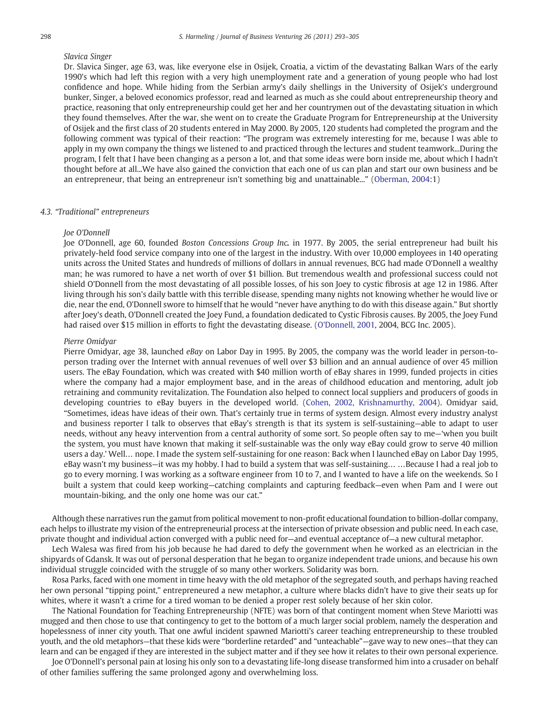#### Slavica Singer

Dr. Slavica Singer, age 63, was, like everyone else in Osijek, Croatia, a victim of the devastating Balkan Wars of the early 1990's which had left this region with a very high unemployment rate and a generation of young people who had lost confidence and hope. While hiding from the Serbian army's daily shellings in the University of Osijek's underground bunker, Singer, a beloved economics professor, read and learned as much as she could about entrepreneurship theory and practice, reasoning that only entrepreneurship could get her and her countrymen out of the devastating situation in which they found themselves. After the war, she went on to create the Graduate Program for Entrepreneurship at the University of Osijek and the first class of 20 students entered in May 2000. By 2005, 120 students had completed the program and the following comment was typical of their reaction: "The program was extremely interesting for me, because I was able to apply in my own company the things we listened to and practiced through the lectures and student teamwork...During the program, I felt that I have been changing as a person a lot, and that some ideas were born inside me, about which I hadn't thought before at all...We have also gained the conviction that each one of us can plan and start our own business and be an entrepreneur, that being an entrepreneur isn't something big and unattainable..." ([Oberman, 2004](#page-11-0):1)

#### 4.3. "Traditional" entrepreneurs

#### Joe O'Donnell

Joe O'Donnell, age 60, founded Boston Concessions Group Inc. in 1977. By 2005, the serial entrepreneur had built his privately-held food service company into one of the largest in the industry. With over 10,000 employees in 140 operating units across the United States and hundreds of millions of dollars in annual revenues, BCG had made O'Donnell a wealthy man; he was rumored to have a net worth of over \$1 billion. But tremendous wealth and professional success could not shield O'Donnell from the most devastating of all possible losses, of his son Joey to cystic fibrosis at age 12 in 1986. After living through his son's daily battle with this terrible disease, spending many nights not knowing whether he would live or die, near the end, O'Donnell swore to himself that he would "never have anything to do with this disease again." But shortly after Joey's death, O'Donnell created the Joey Fund, a foundation dedicated to Cystic Fibrosis causes. By 2005, the Joey Fund had raised over \$15 million in efforts to fight the devastating disease. ([O'Donnell, 2001](http://www.hbs.edu/entrepreneurs/), 2004, BCG Inc. 2005).

#### Pierre Omidyar

Pierre Omidyar, age 38, launched *eBay* on Labor Day in 1995. By 2005, the company was the world leader in person-toperson trading over the Internet with annual revenues of well over \$3 billion and an annual audience of over 45 million users. The eBay Foundation, which was created with \$40 million worth of eBay shares in 1999, funded projects in cities where the company had a major employment base, and in the areas of childhood education and mentoring, adult job retraining and community revitalization. The Foundation also helped to connect local suppliers and producers of goods in developing countries to eBay buyers in the developed world. ([Cohen, 2002, Krishnamurthy, 2004](#page-11-0)). Omidyar said, "Sometimes, ideas have ideas of their own. That's certainly true in terms of system design. Almost every industry analyst and business reporter I talk to observes that eBay's strength is that its system is self-sustaining—able to adapt to user needs, without any heavy intervention from a central authority of some sort. So people often say to me—'when you built the system, you must have known that making it self-sustainable was the only way eBay could grow to serve 40 million users a day.' Well… nope. I made the system self-sustaining for one reason: Back when I launched eBay on Labor Day 1995, eBay wasn't my business—it was my hobby. I had to build a system that was self-sustaining… …Because I had a real job to go to every morning. I was working as a software engineer from 10 to 7, and I wanted to have a life on the weekends. So I built a system that could keep working—catching complaints and capturing feedback—even when Pam and I were out mountain-biking, and the only one home was our cat."

Although these narratives run the gamut from political movement to non-profit educational foundation to billion-dollar company, each helps to illustrate my vision of the entrepreneurial process at the intersection of private obsession and public need. In each case, private thought and individual action converged with a public need for—and eventual acceptance of—a new cultural metaphor.

Lech Walesa was fired from his job because he had dared to defy the government when he worked as an electrician in the shipyards of Gdansk. It was out of personal desperation that he began to organize independent trade unions, and because his own individual struggle coincided with the struggle of so many other workers. Solidarity was born.

Rosa Parks, faced with one moment in time heavy with the old metaphor of the segregated south, and perhaps having reached her own personal "tipping point," entrepreneured a new metaphor, a culture where blacks didn't have to give their seats up for whites, where it wasn't a crime for a tired woman to be denied a proper rest solely because of her skin color.

The National Foundation for Teaching Entrepreneurship (NFTE) was born of that contingent moment when Steve Mariotti was mugged and then chose to use that contingency to get to the bottom of a much larger social problem, namely the desperation and hopelessness of inner city youth. That one awful incident spawned Mariotti's career teaching entrepreneurship to these troubled youth, and the old metaphors—that these kids were "borderline retarded" and "unteachable"—gave way to new ones—that they can learn and can be engaged if they are interested in the subject matter and if they see how it relates to their own personal experience.

Joe O'Donnell's personal pain at losing his only son to a devastating life-long disease transformed him into a crusader on behalf of other families suffering the same prolonged agony and overwhelming loss.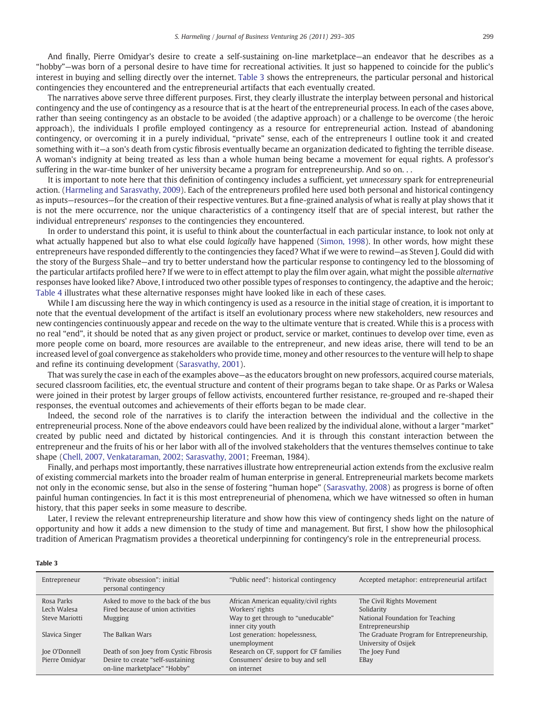And finally, Pierre Omidyar's desire to create a self-sustaining on-line marketplace—an endeavor that he describes as a "hobby"—was born of a personal desire to have time for recreational activities. It just so happened to coincide for the public's interest in buying and selling directly over the internet. Table 3 shows the entrepreneurs, the particular personal and historical contingencies they encountered and the entrepreneurial artifacts that each eventually created.

The narratives above serve three different purposes. First, they clearly illustrate the interplay between personal and historical contingency and the use of contingency as a resource that is at the heart of the entrepreneurial process. In each of the cases above, rather than seeing contingency as an obstacle to be avoided (the adaptive approach) or a challenge to be overcome (the heroic approach), the individuals I profile employed contingency as a resource for entrepreneurial action. Instead of abandoning contingency, or overcoming it in a purely individual, "private" sense, each of the entrepreneurs I outline took it and created something with it—a son's death from cystic fibrosis eventually became an organization dedicated to fighting the terrible disease. A woman's indignity at being treated as less than a whole human being became a movement for equal rights. A professor's suffering in the war-time bunker of her university became a program for entrepreneurship. And so on. . .

It is important to note here that this definition of contingency includes a sufficient, yet unnecessary spark for entrepreneurial action. ([Harmeling and Sarasvathy, 2009](#page-11-0)). Each of the entrepreneurs profiled here used both personal and historical contingency as inputs—resources—for the creation of their respective ventures. But a fine-grained analysis of what is really at play shows that it is not the mere occurrence, nor the unique characteristics of a contingency itself that are of special interest, but rather the individual entrepreneurs' responses to the contingencies they encountered.

In order to understand this point, it is useful to think about the counterfactual in each particular instance, to look not only at what actually happened but also to what else could logically have happened [\(Simon, 1998](#page-12-0)). In other words, how might these entrepreneurs have responded differently to the contingencies they faced? What if we were to rewind—as Steven J. Gould did with the story of the Burgess Shale—and try to better understand how the particular response to contingency led to the blossoming of the particular artifacts profiled here? If we were to in effect attempt to play the film over again, what might the possible alternative responses have looked like? Above, I introduced two other possible types of responses to contingency, the adaptive and the heroic; [Table 4](#page-7-0) illustrates what these alternative responses might have looked like in each of these cases.

While I am discussing here the way in which contingency is used as a resource in the initial stage of creation, it is important to note that the eventual development of the artifact is itself an evolutionary process where new stakeholders, new resources and new contingencies continuously appear and recede on the way to the ultimate venture that is created. While this is a process with no real "end", it should be noted that as any given project or product, service or market, continues to develop over time, even as more people come on board, more resources are available to the entrepreneur, and new ideas arise, there will tend to be an increased level of goal convergence as stakeholders who provide time, money and other resources to the venture will help to shape and refine its continuing development ([Sarasvathy, 2001\)](#page-11-0).

That was surely the case in each of the examples above—as the educators brought on new professors, acquired course materials, secured classroom facilities, etc, the eventual structure and content of their programs began to take shape. Or as Parks or Walesa were joined in their protest by larger groups of fellow activists, encountered further resistance, re-grouped and re-shaped their responses, the eventual outcomes and achievements of their efforts began to be made clear.

Indeed, the second role of the narratives is to clarify the interaction between the individual and the collective in the entrepreneurial process. None of the above endeavors could have been realized by the individual alone, without a larger "market" created by public need and dictated by historical contingencies. And it is through this constant interaction between the entrepreneur and the fruits of his or her labor with all of the involved stakeholders that the ventures themselves continue to take shape ([Chell, 2007, Venkataraman, 2002; Sarasvathy, 2001](#page-11-0); Freeman, 1984).

Finally, and perhaps most importantly, these narratives illustrate how entrepreneurial action extends from the exclusive realm of existing commercial markets into the broader realm of human enterprise in general. Entrepreneurial markets become markets not only in the economic sense, but also in the sense of fostering "human hope" [\(Sarasvathy, 2008\)](#page-11-0) as progress is borne of often painful human contingencies. In fact it is this most entrepreneurial of phenomena, which we have witnessed so often in human history, that this paper seeks in some measure to describe.

Later, I review the relevant entrepreneurship literature and show how this view of contingency sheds light on the nature of opportunity and how it adds a new dimension to the study of time and management. But first, I show how the philosophical tradition of American Pragmatism provides a theoretical underpinning for contingency's role in the entrepreneurial process.

#### Table 3

| Entrepreneur   | "Private obsession": initial<br>personal contingency | "Public need": historical contingency   | Accepted metaphor: entrepreneurial artifact |
|----------------|------------------------------------------------------|-----------------------------------------|---------------------------------------------|
| Rosa Parks     | Asked to move to the back of the bus                 | African American equality/civil rights  | The Civil Rights Movement                   |
| Lech Walesa    | Fired because of union activities                    | Workers' rights                         | Solidarity                                  |
| Steve Mariotti | Mugging                                              | Way to get through to "uneducable"      | National Foundation for Teaching            |
|                |                                                      | inner city youth                        | Entrepreneurship                            |
| Slavica Singer | The Balkan Wars                                      | Lost generation: hopelessness,          | The Graduate Program for Entrepreneurship,  |
|                |                                                      | unemployment                            | University of Osijek                        |
| Joe O'Donnell  | Death of son Joey from Cystic Fibrosis               | Research on CF, support for CF families | The Joey Fund                               |
| Pierre Omidyar | Desire to create "self-sustaining                    | Consumers' desire to buy and sell       | EBay                                        |
|                | on-line marketplace" "Hobby"                         | on internet                             |                                             |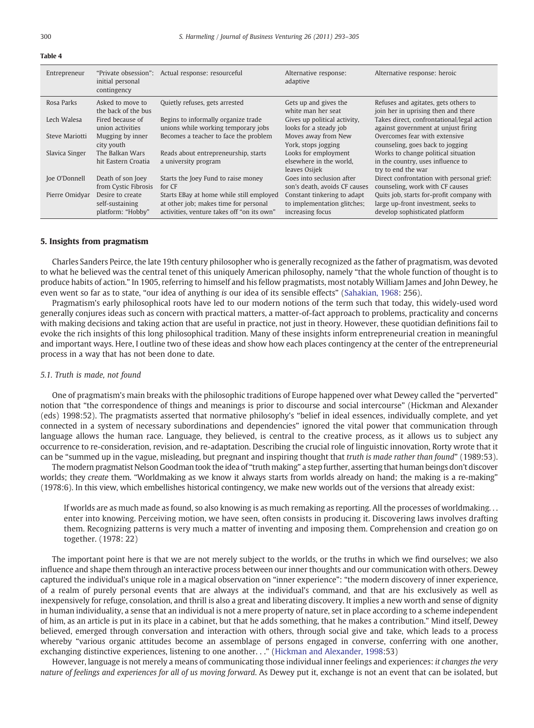### <span id="page-7-0"></span>Table 4

| Entrepreneur   | initial personal<br>contingency                          | "Private obsession": Actual response: resourceful                                                                               | Alternative response:<br>adaptive                                              | Alternative response: heroic                                                                                       |
|----------------|----------------------------------------------------------|---------------------------------------------------------------------------------------------------------------------------------|--------------------------------------------------------------------------------|--------------------------------------------------------------------------------------------------------------------|
| Rosa Parks     | Asked to move to<br>the back of the bus                  | Quietly refuses, gets arrested                                                                                                  | Gets up and gives the<br>white man her seat                                    | Refuses and agitates, gets others to<br>join her in uprising then and there                                        |
| Lech Walesa    | Fired because of<br>union activities                     | Begins to informally organize trade<br>unions while working temporary jobs                                                      | Gives up political activity,<br>looks for a steady job                         | Takes direct, confrontational/legal action<br>against government at unjust firing                                  |
| Steve Mariotti | Mugging by inner<br>city youth                           | Becomes a teacher to face the problem                                                                                           | Moves away from New<br>York, stops jogging                                     | Overcomes fear with extensive<br>counseling, goes back to jogging                                                  |
| Slavica Singer | The Balkan Wars<br>hit Eastern Croatia                   | Reads about entrepreneurship, starts<br>a university program                                                                    | Looks for employment<br>elsewhere in the world,<br>leaves Osijek               | Works to change political situation<br>in the country, uses influence to<br>try to end the war                     |
| Joe O'Donnell  | Death of son Joey<br>from Cystic Fibrosis                | Starts the Joey Fund to raise money<br>for CF                                                                                   | Goes into seclusion after<br>son's death, avoids CF causes                     | Direct confrontation with personal grief:<br>counseling, work with CF causes                                       |
| Pierre Omidyar | Desire to create<br>self-sustaining<br>platform: "Hobby" | Starts EBay at home while still employed<br>at other job; makes time for personal<br>activities, venture takes off "on its own" | Constant tinkering to adapt<br>to implementation glitches;<br>increasing focus | Quits job, starts for-profit company with<br>large up-front investment, seeks to<br>develop sophisticated platform |

#### 5. Insights from pragmatism

Charles Sanders Peirce, the late 19th century philosopher who is generally recognized as the father of pragmatism, was devoted to what he believed was the central tenet of this uniquely American philosophy, namely "that the whole function of thought is to produce habits of action." In 1905, referring to himself and his fellow pragmatists, most notably William James and John Dewey, he even went so far as to state, "our idea of anything is our idea of its sensible effects" [\(Sahakian, 1968](#page-11-0): 256).

Pragmatism's early philosophical roots have led to our modern notions of the term such that today, this widely-used word generally conjures ideas such as concern with practical matters, a matter-of-fact approach to problems, practicality and concerns with making decisions and taking action that are useful in practice, not just in theory. However, these quotidian definitions fail to evoke the rich insights of this long philosophical tradition. Many of these insights inform entrepreneurial creation in meaningful and important ways. Here, I outline two of these ideas and show how each places contingency at the center of the entrepreneurial process in a way that has not been done to date.

#### 5.1. Truth is made, not found

One of pragmatism's main breaks with the philosophic traditions of Europe happened over what Dewey called the "perverted" notion that "the correspondence of things and meanings is prior to discourse and social intercourse" (Hickman and Alexander (eds) 1998:52). The pragmatists asserted that normative philosophy's "belief in ideal essences, individually complete, and yet connected in a system of necessary subordinations and dependencies" ignored the vital power that communication through language allows the human race. Language, they believed, is central to the creative process, as it allows us to subject any occurrence to re-consideration, revision, and re-adaptation. Describing the crucial role of linguistic innovation, Rorty wrote that it can be "summed up in the vague, misleading, but pregnant and inspiring thought that truth is made rather than found" (1989:53).

The modern pragmatist Nelson Goodman took the idea of "truth making" a step further, asserting that human beings don't discover worlds; they create them. "Worldmaking as we know it always starts from worlds already on hand; the making is a re-making" (1978:6). In this view, which embellishes historical contingency, we make new worlds out of the versions that already exist:

If worlds are as much made as found, so also knowing is as much remaking as reporting. All the processes of worldmaking. . . enter into knowing. Perceiving motion, we have seen, often consists in producing it. Discovering laws involves drafting them. Recognizing patterns is very much a matter of inventing and imposing them. Comprehension and creation go on together. (1978: 22)

The important point here is that we are not merely subject to the worlds, or the truths in which we find ourselves; we also influence and shape them through an interactive process between our inner thoughts and our communication with others. Dewey captured the individual's unique role in a magical observation on "inner experience": "the modern discovery of inner experience, of a realm of purely personal events that are always at the individual's command, and that are his exclusively as well as inexpensively for refuge, consolation, and thrill is also a great and liberating discovery. It implies a new worth and sense of dignity in human individuality, a sense that an individual is not a mere property of nature, set in place according to a scheme independent of him, as an article is put in its place in a cabinet, but that he adds something, that he makes a contribution." Mind itself, Dewey believed, emerged through conversation and interaction with others, through social give and take, which leads to a process whereby "various organic attitudes become an assemblage of persons engaged in converse, conferring with one another, exchanging distinctive experiences, listening to one another. . ." [\(Hickman and Alexander, 1998:](#page-11-0)53)

However, language is not merely a means of communicating those individual inner feelings and experiences: it changes the very nature of feelings and experiences for all of us moving forward. As Dewey put it, exchange is not an event that can be isolated, but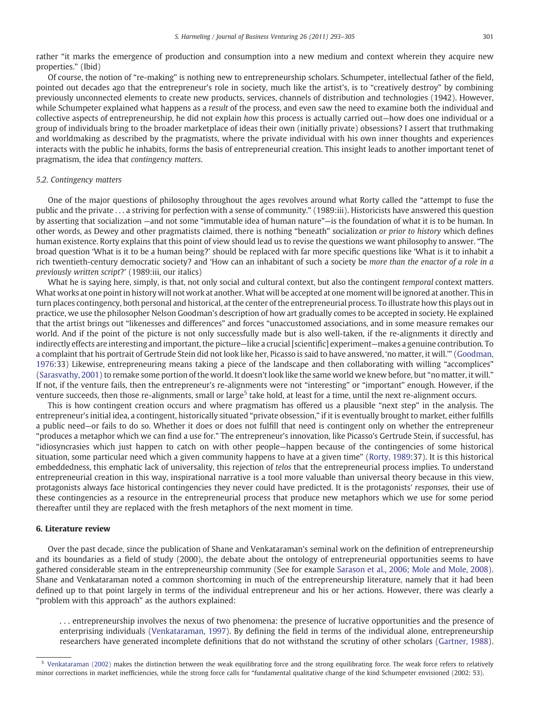rather "it marks the emergence of production and consumption into a new medium and context wherein they acquire new properties." (Ibid)

Of course, the notion of "re-making" is nothing new to entrepreneurship scholars. Schumpeter, intellectual father of the field, pointed out decades ago that the entrepreneur's role in society, much like the artist's, is to "creatively destroy" by combining previously unconnected elements to create new products, services, channels of distribution and technologies (1942). However, while Schumpeter explained what happens as a result of the process, and even saw the need to examine both the individual and collective aspects of entrepreneurship, he did not explain how this process is actually carried out—how does one individual or a group of individuals bring to the broader marketplace of ideas their own (initially private) obsessions? I assert that truthmaking and worldmaking as described by the pragmatists, where the private individual with his own inner thoughts and experiences interacts with the public he inhabits, forms the basis of entrepreneurial creation. This insight leads to another important tenet of pragmatism, the idea that contingency matters.

#### 5.2. Contingency matters

One of the major questions of philosophy throughout the ages revolves around what Rorty called the "attempt to fuse the public and the private . . . a striving for perfection with a sense of community." (1989:iii). Historicists have answered this question by asserting that socialization —and not some "immutable idea of human nature"—is the foundation of what it is to be human. In other words, as Dewey and other pragmatists claimed, there is nothing "beneath" socialization or prior to history which defines human existence. Rorty explains that this point of view should lead us to revise the questions we want philosophy to answer. "The broad question 'What is it to be a human being?' should be replaced with far more specific questions like 'What is it to inhabit a rich twentieth-century democratic society? and 'How can an inhabitant of such a society be more than the enactor of a role in a previously written script?' (1989:iii, our italics)

What he is saying here, simply, is that, not only social and cultural context, but also the contingent temporal context matters. What works at one point in history will not work at another.What will be accepted at one moment will be ignored at another. This in turn places contingency, both personal and historical, at the center of the entrepreneurial process. To illustrate how this plays out in practice, we use the philosopher Nelson Goodman's description of how art gradually comes to be accepted in society. He explained that the artist brings out "likenesses and differences" and forces "unaccustomed associations, and in some measure remakes our world. And if the point of the picture is not only successfully made but is also well-taken, if the re-alignments it directly and indirectly effects are interesting and important, the picture—like a crucial [scientific] experiment—makes a genuine contribution. To a complaint that his portrait of Gertrude Stein did not look like her, Picasso is said to have answered, 'no matter, it will.'" ([Goodman,](#page-11-0) [1976](#page-11-0):33) Likewise, entrepreneuring means taking a piece of the landscape and then collaborating with willing "accomplices" [\(Sarasvathy, 2001](#page-11-0)) to remake some portion of the world. It doesn't look like the same world we knew before, but "no matter, it will." If not, if the venture fails, then the entrepreneur's re-alignments were not "interesting" or "important" enough. However, if the venture succeeds, then those re-alignments, small or large<sup>5</sup> take hold, at least for a time, until the next re-alignment occurs.

This is how contingent creation occurs and where pragmatism has offered us a plausible "next step" in the analysis. The entrepreneur's initial idea, a contingent, historically situated "private obsession," if it is eventually brought to market, either fulfills a public need—or fails to do so. Whether it does or does not fulfill that need is contingent only on whether the entrepreneur "produces a metaphor which we can find a use for." The entrepreneur's innovation, like Picasso's Gertrude Stein, if successful, has "idiosyncrasies which just happen to catch on with other people—happen because of the contingencies of some historical situation, some particular need which a given community happens to have at a given time" [\(Rorty, 1989](#page-11-0):37). It is this historical embeddedness, this emphatic lack of universality, this rejection of telos that the entrepreneurial process implies. To understand entrepreneurial creation in this way, inspirational narrative is a tool more valuable than universal theory because in this view, protagonists always face historical contingencies they never could have predicted. It is the protagonists' responses, their use of these contingencies as a resource in the entrepreneurial process that produce new metaphors which we use for some period thereafter until they are replaced with the fresh metaphors of the next moment in time.

#### 6. Literature review

Over the past decade, since the publication of Shane and Venkataraman's seminal work on the definition of entrepreneurship and its boundaries as a field of study (2000), the debate about the ontology of entrepreneurial opportunities seems to have gathered considerable steam in the entrepreneurship community (See for example [Sarason et al., 2006; Mole and Mole, 2008\)](#page-11-0). Shane and Venkataraman noted a common shortcoming in much of the entrepreneurship literature, namely that it had been defined up to that point largely in terms of the individual entrepreneur and his or her actions. However, there was clearly a "problem with this approach" as the authors explained:

. . . entrepreneurship involves the nexus of two phenomena: the presence of lucrative opportunities and the presence of enterprising individuals ([Venkataraman, 1997](#page-12-0)). By defining the field in terms of the individual alone, entrepreneurship researchers have generated incomplete definitions that do not withstand the scrutiny of other scholars [\(Gartner, 1988\)](#page-11-0).

<sup>&</sup>lt;sup>5</sup> [Venkataraman \(2002\)](#page-12-0) makes the distinction between the weak equilibrating force and the strong equilibrating force. The weak force refers to relatively minor corrections in market inefficiencies, while the strong force calls for "fundamental qualitative change of the kind Schumpeter envisioned (2002: 53).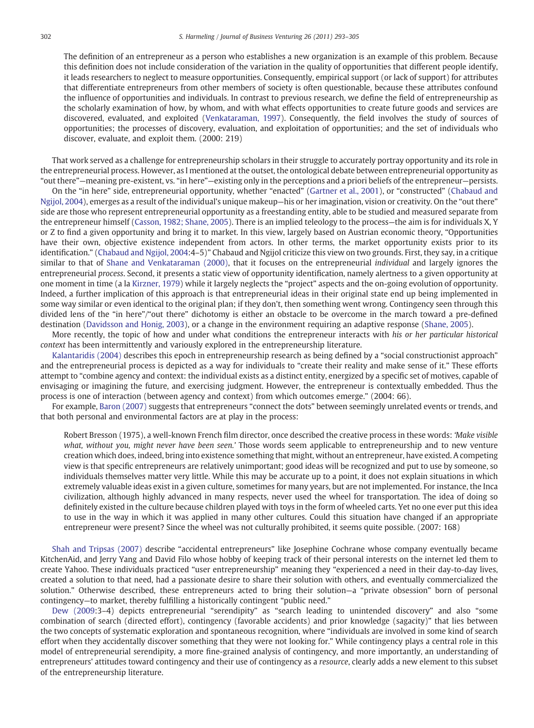The definition of an entrepreneur as a person who establishes a new organization is an example of this problem. Because this definition does not include consideration of the variation in the quality of opportunities that different people identify, it leads researchers to neglect to measure opportunities. Consequently, empirical support (or lack of support) for attributes that differentiate entrepreneurs from other members of society is often questionable, because these attributes confound the influence of opportunities and individuals. In contrast to previous research, we define the field of entrepreneurship as the scholarly examination of how, by whom, and with what effects opportunities to create future goods and services are discovered, evaluated, and exploited [\(Venkataraman, 1997](#page-12-0)). Consequently, the field involves the study of sources of opportunities; the processes of discovery, evaluation, and exploitation of opportunities; and the set of individuals who discover, evaluate, and exploit them. (2000: 219)

That work served as a challenge for entrepreneurship scholars in their struggle to accurately portray opportunity and its role in the entrepreneurial process. However, as I mentioned at the outset, the ontological debate between entrepreneurial opportunity as "out there"—meaning pre-existent, vs. "in here"—existing only in the perceptions and a priori beliefs of the entrepreneur—persists.

On the "in here" side, entrepreneurial opportunity, whether "enacted" ([Gartner et al., 2001](#page-11-0)), or "constructed" ([Chabaud and](http://tigger.uic.edu/cba/ies/2004papers/chabaud-ngijolUIC.htm) [Ngijol, 2004](http://tigger.uic.edu/cba/ies/2004papers/chabaud-ngijolUIC.htm)), emerges as a result of the individual's unique makeup—his or her imagination, vision or creativity. On the "out there" side are those who represent entrepreneurial opportunity as a freestanding entity, able to be studied and measured separate from the entrepreneur himself [\(Casson, 1982; Shane, 2005\)](#page-11-0). There is an implied teleology to the process—the aim is for individuals X, Y or Z to find a given opportunity and bring it to market. In this view, largely based on Austrian economic theory, "Opportunities have their own, objective existence independent from actors. In other terms, the market opportunity exists prior to its identification." ([Chabaud and Ngijol, 2004:](http://tigger.uic.edu/cba/ies/2004papers/chabaud-ngijolUIC.htm)4–5)" Chabaud and Ngijol criticize this view on two grounds. First, they say, in a critique similar to that of [Shane and Venkataraman \(2000\)](#page-12-0), that it focuses on the entrepreneurial individual and largely ignores the entrepreneurial process. Second, it presents a static view of opportunity identification, namely alertness to a given opportunity at one moment in time (a la [Kirzner, 1979](#page-11-0)) while it largely neglects the "project" aspects and the on-going evolution of opportunity. Indeed, a further implication of this approach is that entrepreneurial ideas in their original state end up being implemented in some way similar or even identical to the original plan; if they don't, then something went wrong. Contingency seen through this divided lens of the "in here"/"out there" dichotomy is either an obstacle to be overcome in the march toward a pre-defined destination [\(Davidsson and Honig, 2003\)](#page-11-0), or a change in the environment requiring an adaptive response ([Shane, 2005](#page-12-0)).

More recently, the topic of how and under what conditions the entrepreneur interacts with his or her particular historical context has been intermittently and variously explored in the entrepreneurship literature.

[Kalantaridis \(2004\)](#page-11-0) describes this epoch in entrepreneurship research as being defined by a "social constructionist approach" and the entrepreneurial process is depicted as a way for individuals to "create their reality and make sense of it." These efforts attempt to "combine agency and context: the individual exists as a distinct entity, energized by a specific set of motives, capable of envisaging or imagining the future, and exercising judgment. However, the entrepreneur is contextually embedded. Thus the process is one of interaction (between agency and context) from which outcomes emerge." (2004: 66).

For example, [Baron \(2007\)](#page-11-0) suggests that entrepreneurs "connect the dots" between seemingly unrelated events or trends, and that both personal and environmental factors are at play in the process:

Robert Bresson (1975), a well-known French film director, once described the creative process in these words: 'Make visible what, without you, might never have been seen.' Those words seem applicable to entrepreneurship and to new venture creation which does, indeed, bring into existence something that might, without an entrepreneur, have existed. A competing view is that specific entrepreneurs are relatively unimportant; good ideas will be recognized and put to use by someone, so individuals themselves matter very little. While this may be accurate up to a point, it does not explain situations in which extremely valuable ideas exist in a given culture, sometimes for many years, but are not implemented. For instance, the Inca civilization, although highly advanced in many respects, never used the wheel for transportation. The idea of doing so definitely existed in the culture because children played with toys in the form of wheeled carts. Yet no one ever put this idea to use in the way in which it was applied in many other cultures. Could this situation have changed if an appropriate entrepreneur were present? Since the wheel was not culturally prohibited, it seems quite possible. (2007: 168)

[Shah and Tripsas \(2007\)](#page-12-0) describe "accidental entrepreneurs" like Josephine Cochrane whose company eventually became KitchenAid, and Jerry Yang and David Filo whose hobby of keeping track of their personal interests on the internet led them to create Yahoo. These individuals practiced "user entrepreneurship" meaning they "experienced a need in their day-to-day lives, created a solution to that need, had a passionate desire to share their solution with others, and eventually commercialized the solution." Otherwise described, these entrepreneurs acted to bring their solution—a "private obsession" born of personal contingency—to market, thereby fulfilling a historically contingent "public need."

[Dew \(2009:](#page-11-0)3–4) depicts entrepreneurial "serendipity" as "search leading to unintended discovery" and also "some combination of search (directed effort), contingency (favorable accidents) and prior knowledge (sagacity)" that lies between the two concepts of systematic exploration and spontaneous recognition, where "individuals are involved in some kind of search effort when they accidentally discover something that they were not looking for." While contingency plays a central role in this model of entrepreneurial serendipity, a more fine-grained analysis of contingency, and more importantly, an understanding of entrepreneurs' attitudes toward contingency and their use of contingency as a resource, clearly adds a new element to this subset of the entrepreneurship literature.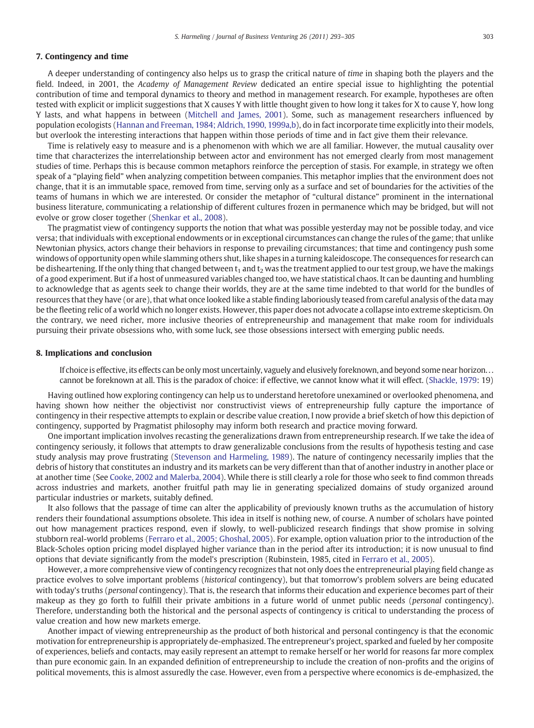#### 7. Contingency and time

A deeper understanding of contingency also helps us to grasp the critical nature of time in shaping both the players and the field. Indeed, in 2001, the Academy of Management Review dedicated an entire special issue to highlighting the potential contribution of time and temporal dynamics to theory and method in management research. For example, hypotheses are often tested with explicit or implicit suggestions that X causes Y with little thought given to how long it takes for X to cause Y, how long Y lasts, and what happens in between ([Mitchell and James, 2001](#page-11-0)). Some, such as management researchers influenced by population ecologists ([Hannan and Freeman, 1984; Aldrich, 1990, 1999a,b\)](#page-11-0), do in fact incorporate time explicitly into their models, but overlook the interesting interactions that happen within those periods of time and in fact give them their relevance.

Time is relatively easy to measure and is a phenomenon with which we are all familiar. However, the mutual causality over time that characterizes the interrelationship between actor and environment has not emerged clearly from most management studies of time. Perhaps this is because common metaphors reinforce the perception of stasis. For example, in strategy we often speak of a "playing field" when analyzing competition between companies. This metaphor implies that the environment does not change, that it is an immutable space, removed from time, serving only as a surface and set of boundaries for the activities of the teams of humans in which we are interested. Or consider the metaphor of "cultural distance" prominent in the international business literature, communicating a relationship of different cultures frozen in permanence which may be bridged, but will not evolve or grow closer together ([Shenkar et al., 2008\)](#page-12-0).

The pragmatist view of contingency supports the notion that what was possible yesterday may not be possible today, and vice versa; that individuals with exceptional endowments or in exceptional circumstances can change the rules of the game; that unlike Newtonian physics, actors change their behaviors in response to prevailing circumstances; that time and contingency push some windows of opportunity open while slamming others shut, like shapes in a turning kaleidoscope. The consequences for research can be disheartening. If the only thing that changed between  $t_1$  and  $t_2$  was the treatment applied to our test group, we have the makings of a good experiment. But if a host of unmeasured variables changed too, we have statistical chaos. It can be daunting and humbling to acknowledge that as agents seek to change their worlds, they are at the same time indebted to that world for the bundles of resources that they have (or are), that what once looked like a stable finding laboriously teased from careful analysis of the data may be the fleeting relic of a world which no longer exists. However, this paper does not advocate a collapse into extreme skepticism. On the contrary, we need richer, more inclusive theories of entrepreneurship and management that make room for individuals pursuing their private obsessions who, with some luck, see those obsessions intersect with emerging public needs.

#### 8. Implications and conclusion

If choice is effective, its effects can be only most uncertainly, vaguely and elusively foreknown, and beyond some near horizon. . . cannot be foreknown at all. This is the paradox of choice: if effective, we cannot know what it will effect. [\(Shackle, 1979:](#page-11-0) 19)

Having outlined how exploring contingency can help us to understand heretofore unexamined or overlooked phenomena, and having shown how neither the objectivist nor constructivist views of entrepreneurship fully capture the importance of contingency in their respective attempts to explain or describe value creation, I now provide a brief sketch of how this depiction of contingency, supported by Pragmatist philosophy may inform both research and practice moving forward.

One important implication involves recasting the generalizations drawn from entrepreneurship research. If we take the idea of contingency seriously, it follows that attempts to draw generalizable conclusions from the results of hypothesis testing and case study analysis may prove frustrating ([Stevenson and Harmeling, 1989\)](#page-12-0). The nature of contingency necessarily implies that the debris of history that constitutes an industry and its markets can be very different than that of another industry in another place or at another time (See [Cooke, 2002 and Malerba, 2004\)](#page-11-0). While there is still clearly a role for those who seek to find common threads across industries and markets, another fruitful path may lie in generating specialized domains of study organized around particular industries or markets, suitably defined.

It also follows that the passage of time can alter the applicability of previously known truths as the accumulation of history renders their foundational assumptions obsolete. This idea in itself is nothing new, of course. A number of scholars have pointed out how management practices respond, even if slowly, to well-publicized research findings that show promise in solving stubborn real-world problems ([Ferraro et al., 2005; Ghoshal, 2005](#page-11-0)). For example, option valuation prior to the introduction of the Black-Scholes option pricing model displayed higher variance than in the period after its introduction; it is now unusual to find options that deviate significantly from the model's prescription (Rubinstein, 1985, cited in [Ferraro et al., 2005\)](#page-11-0).

However, a more comprehensive view of contingency recognizes that not only does the entrepreneurial playing field change as practice evolves to solve important problems (historical contingency), but that tomorrow's problem solvers are being educated with today's truths (personal contingency). That is, the research that informs their education and experience becomes part of their makeup as they go forth to fulfill their private ambitions in a future world of unmet public needs (personal contingency). Therefore, understanding both the historical and the personal aspects of contingency is critical to understanding the process of value creation and how new markets emerge.

Another impact of viewing entrepreneurship as the product of both historical and personal contingency is that the economic motivation for entrepreneurship is appropriately de-emphasized. The entrepreneur's project, sparked and fueled by her composite of experiences, beliefs and contacts, may easily represent an attempt to remake herself or her world for reasons far more complex than pure economic gain. In an expanded definition of entrepreneurship to include the creation of non-profits and the origins of political movements, this is almost assuredly the case. However, even from a perspective where economics is de-emphasized, the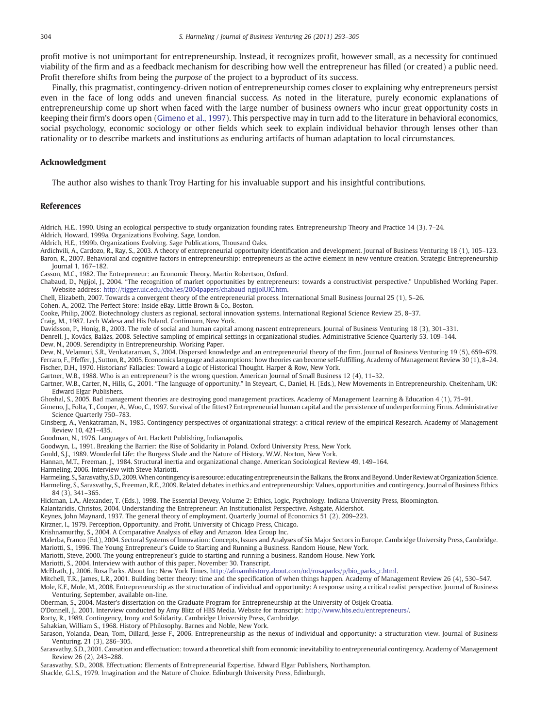<span id="page-11-0"></span>profit motive is not unimportant for entrepreneurship. Instead, it recognizes profit, however small, as a necessity for continued viability of the firm and as a feedback mechanism for describing how well the entrepreneur has filled (or created) a public need. Profit therefore shifts from being the purpose of the project to a byproduct of its success.

Finally, this pragmatist, contingency-driven notion of entrepreneurship comes closer to explaining why entrepreneurs persist even in the face of long odds and uneven financial success. As noted in the literature, purely economic explanations of entrepreneurship come up short when faced with the large number of business owners who incur great opportunity costs in keeping their firm's doors open (Gimeno et al., 1997). This perspective may in turn add to the literature in behavioral economics, social psychology, economic sociology or other fields which seek to explain individual behavior through lenses other than rationality or to describe markets and institutions as enduring artifacts of human adaptation to local circumstances.

#### Acknowledgment

The author also wishes to thank Troy Harting for his invaluable support and his insightful contributions.

#### References

Aldrich, H.E., 1990. Using an ecological perspective to study organization founding rates. Entrepreneurship Theory and Practice 14 (3), 7–24. Aldrich, Howard, 1999a. Organizations Evolving. Sage, London.

Aldrich, H.E., 1999b. Organizations Evolving. Sage Publications, Thousand Oaks.

Ardichvili, A., Cardozo, R., Ray, S., 2003. A theory of entrepreneurial opportunity identification and development. Journal of Business Venturing 18 (1), 105–123. Baron, R., 2007. Behavioral and cognitive factors in entrepreneurship: entrepreneurs as the active element in new venture creation. Strategic Entrepreneurship Journal 1, 167–182.

- Casson, M.C., 1982. The Entrepreneur: an Economic Theory. Martin Robertson, Oxford.
- Chabaud, D., Ngijol, J., 2004. "The recognition of market opportunities by entrepreneurs: towards a constructivist perspective." Unpublished Working Paper. Website address: http://tigger.uic.edu/cba/ies/2004papers/chabaud-ngijolUIC.htm.
- Chell, Elizabeth, 2007. Towards a convergent theory of the entrepreneurial process. International Small Business Journal 25 (1), 5–26.

Cohen, A., 2002. The Perfect Store: Inside eBay. Little Brown & Co., Boston.

Cooke, Philip, 2002. Biotechnology clusters as regional, sectoral innovation systems. International Regional Science Review 25, 8–37.

Craig, M., 1987. Lech Walesa and His Poland. Continuum, New York.

Davidsson, P., Honig, B., 2003. The role of social and human capital among nascent entrepreneurs. Journal of Business Venturing 18 (3), 301–331.

Denrell, J., Kovács, Balázs, 2008. Selective sampling of empirical settings in organizational studies. Administrative Science Quarterly 53, 109–144. Dew, N., 2009. Serendipity in Entrepreneurship. Working Paper.

Dew, N., Velamuri, S.R., Venkataraman, S., 2004. Dispersed knowledge and an entrepreneurial theory of the firm. Journal of Business Venturing 19 (5), 659–679. Ferraro, F., Pfeffer, J., Sutton, R., 2005. Economics language and assumptions: how theories can become self-fulfilling. Academy of Management Review 30 (1), 8-24. Fischer, D.H., 1970. Historians' Fallacies: Toward a Logic of Historical Thought. Harper & Row, New York.

Gartner, W.B., 1988. Who is an entrepreneur? is the wrong question. American Journal of Small Business 12 (4), 11–32.

Gartner, W.B., Carter, N., Hills, G., 2001. "The language of opportunity." In Steyeart, C., Daniel, H. (Eds.), New Movements in Entrepreneurship. Cheltenham, UK: Edward Elgar Publishers.

Ghoshal, S., 2005. Bad management theories are destroying good management practices. Academy of Management Learning & Education 4 (1), 75–91.

Gimeno, J., Folta, T., Cooper, A., Woo, C., 1997. Survival of the fittest? Entrepreneurial human capital and the persistence of underperforming Firms. Administrative Science Quarterly 750–783.

Ginsberg, A., Venkatraman, N., 1985. Contingency perspectives of organizational strategy: a critical review of the empirical Research. Academy of Management Review 10, 421–435.

Goodman, N., 1976. Languages of Art. Hackett Publishing, Indianapolis.

Goodwyn, L., 1991. Breaking the Barrier: the Rise of Solidarity in Poland. Oxford University Press, New York.

Gould, S.J., 1989. Wonderful Life: the Burgess Shale and the Nature of History. W.W. Norton, New York.

Hannan, M.T., Freeman, J., 1984. Structural inertia and organizational change. American Sociological Review 49, 149–164.

Harmeling, 2006. Interview with Steve Mariotti.

Harmeling, S., Sarasvathy, S.D., 2009.When contingency is a resource: educating entrepreneurs in the Balkans, the Bronx and Beyond. Under Review at Organization Science. Harmeling, S., Sarasvathy, S., Freeman, R.E., 2009. Related debates in ethics and entrepreneurship: Values, opportunities and contingency. Journal of Business Ethics 84 (3), 341–365.

Hickman, L.A., Alexander, T. (Eds.), 1998. The Essential Dewey, Volume 2: Ethics, Logic, Psychology. Indiana University Press, Bloomington.

Kalantaridis, Christos, 2004. Understanding the Entrepreneur: An Institutionalist Perspective. Ashgate, Aldershot.

Keynes, John Maynard, 1937. The general theory of employment. Quarterly Journal of Economics 51 (2), 209–223.

Kirzner, I., 1979. Perception, Opportunity, and Profit. University of Chicago Press, Chicago.

Krishnamurthy, S., 2004. A Comparative Analysis of eBay and Amazon. Idea Group Inc.

Malerba, Franco (Ed.), 2004. Sectoral Systems of Innovation: Concepts, Issues and Analyses of Six Major Sectors in Europe. Cambridge University Press, Cambridge. Mariotti, S., 1996. The Young Entrepreneur's Guide to Starting and Running a Business. Random House, New York.

Mariotti, Steve, 2000. The young entrepreneur's guide to starting and running a business. Random House, New York.

Mariotti, S., 2004. Interview with author of this paper, November 30. Transcript.

McElrath, J., 2006. Rosa Parks. About Inc: New York Times. http://afroamhistory.about.com/od/rosaparks/p/bio\_parks\_r.html.

Mitchell, T.R., James, L.R., 2001. Building better theory: time and the specification of when things happen. Academy of Management Review 26 (4), 530–547. Mole, K.F., Mole, M., 2008. Entrepreneurship as the structuration of individual and opportunity: A response using a critical realist perspective. Journal of Business

Venturing. September, available on-line. Oberman, S., 2004. Master's dissertation on the Graduate Program for Entrepreneurship at the University of Osijek Croatia.

O'Donnell, J., 2001. Interview conducted by Amy Blitz of HBS Media. Website for transcript: http://www.hbs.edu/entrepreneurs/.

Rorty, R., 1989. Contingency, Irony and Solidarity. Cambridge University Press, Cambridge.

Sahakian, William S., 1968. History of Philosophy. Barnes and Noble, New York.

Sarason, Yolanda, Dean, Tom, Dillard, Jesse F., 2006. Entrepreneurship as the nexus of individual and opportunity: a structuration view. Journal of Business Venturing. 21 (3), 286–305.

Sarasvathy, S.D., 2001. Causation and effectuation: toward a theoretical shift from economic inevitability to entrepreneurial contingency. Academy of Management Review 26 (2), 243–288.

Sarasvathy, S.D., 2008. Effectuation: Elements of Entrepreneurial Expertise. Edward Elgar Publishers, Northampton.

Shackle, G.L.S., 1979. Imagination and the Nature of Choice. Edinburgh University Press, Edinburgh.